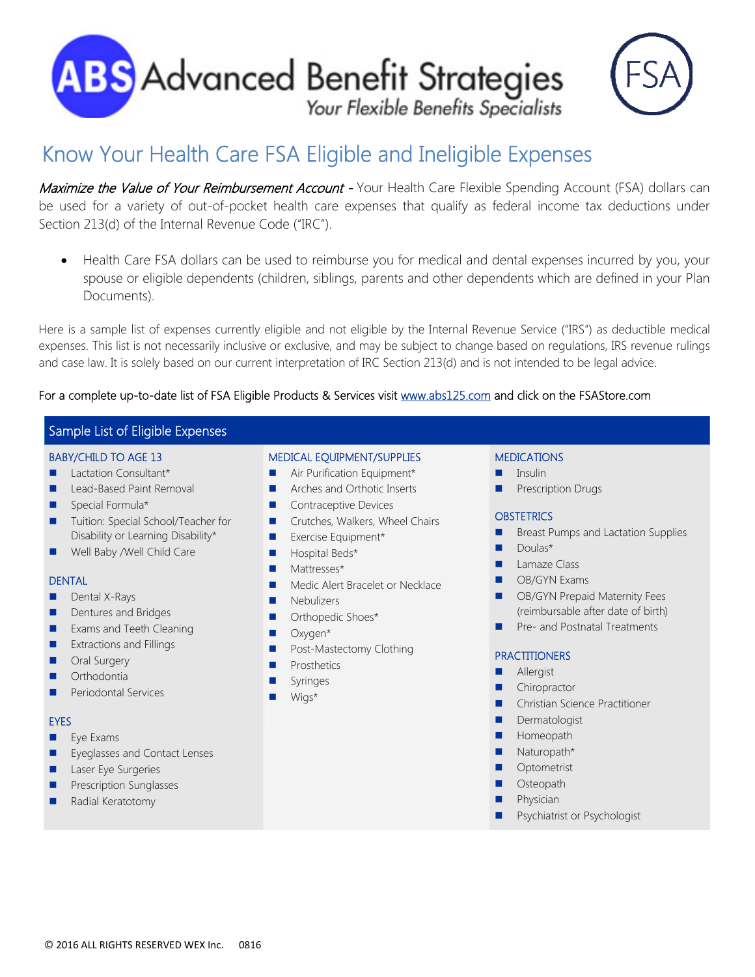



# Know Your Health Care FSA Eligible and Ineligible Expenses

Maximize the Value of Your Reimbursement Account - Your Health Care Flexible Spending Account (FSA) dollars can be used for a variety of out-of-pocket health care expenses that qualify as federal income tax deductions under Section 213(d) of the Internal Revenue Code ("IRC").

 Health Care FSA dollars can be used to reimburse you for medical and dental expenses incurred by you, your spouse or eligible dependents (children, siblings, parents and other dependents which are defined in your Plan Documents).

Here is a sample list of expenses currently eligible and not eligible by the Internal Revenue Service ("IRS") as deductible medical expenses. This list is not necessarily inclusive or exclusive, and may be subject to change based on regulations, IRS revenue rulings and case law. It is solely based on our current interpretation of IRC Section 213(d) and is not intended to be legal advice.

#### For a complete up-to-date list of FSA Eligible Products & Services visit www.abs125.com and click on the FSAStore.com

### Sample List of Eligible Expenses

#### BABY/CHILD TO AGE 13

- **Lactation Consultant\***
- Lead-Based Paint Removal
- Special Formula\*
- Tuition: Special School/Teacher for Disability or Learning Disability\*
- Well Baby /Well Child Care

#### **DENTAL**

- **Dental X-Rays**
- **Dentures and Bridges**
- Exams and Teeth Cleaning
- **EXtractions and Fillings**
- **Delay** Oral Surgery
- **Orthodontia**
- **Periodontal Services**

#### EYES

- **Eye Exams**
- **EXECUTE:** Eyeglasses and Contact Lenses
- Laser Eye Surgeries
- Prescription Sunglasses

#### Radial Keratotomy

#### MEDICAL EQUIPMENT/SUPPLIES

- Air Purification Equipment\*
- Arches and Orthotic Inserts
- **Contraceptive Devices**
- **Crutches, Walkers, Wheel Chairs**
- Exercise Equipment\*
- **Hospital Beds\***
- Mattresses\*
- **Medic Alert Bracelet or Necklace**
- **Nebulizers**
- **Orthopedic Shoes\***
- **D** Oxygen\*
- **Post-Mastectomy Clothing**
- **Prosthetics**
- Syringes
- Wigs\*

#### MEDICATIONS

- $\blacksquare$  Insulin
- Prescription Drugs

#### **OBSTETRICS**

- **Breast Pumps and Lactation Supplies**
- **Doulas\***
- **Lamaze Class**
- **DE** OB/GYN Exams
- **B** OB/GYN Prepaid Maternity Fees (reimbursable after date of birth)
- **Pre- and Postnatal Treatments**

#### **PRACTITIONERS**

- Allergist
- **Chiropractor**
- Christian Science Practitioner
- Dermatologist
- **Homeopath**
- **Naturopath\***
- **Optometrist**
- **D** Osteopath
- **Physician**
- Psychiatrist or Psychologist